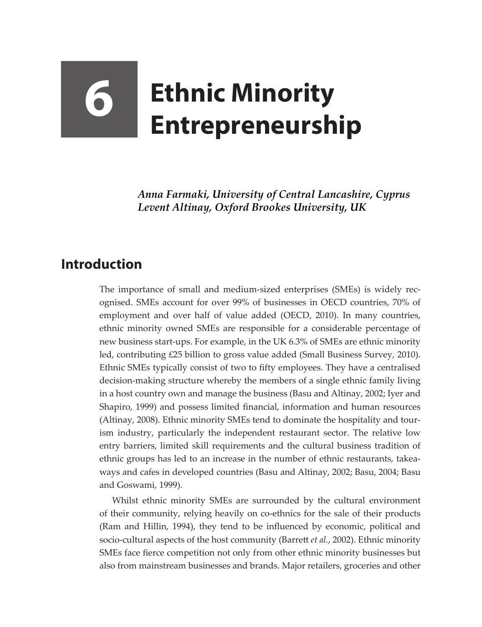## **6 Ethnic Minority Entrepreneurship**

*Anna Farmaki, University of Central Lancashire, Cyprus Levent Altinay, Oxford Brookes University, UK*

## **Introduction**

The importance of small and medium-sized enterprises (SMEs) is widely recognised. SMEs account for over 99% of businesses in OECD countries, 70% of employment and over half of value added (OECD, 2010). In many countries, ethnic minority owned SMEs are responsible for a considerable percentage of new business start-ups. For example, in the UK 6.3% of SMEs are ethnic minority led, contributing £25 billion to gross value added (Small Business Survey, 2010). Ethnic SMEs typically consist of two to fifty employees. They have a centralised decision-making structure whereby the members of a single ethnic family living in a host country own and manage the business (Basu and Altinay, 2002; Iyer and Shapiro, 1999) and possess limited financial, information and human resources (Altinay, 2008). Ethnic minority SMEs tend to dominate the hospitality and tourism industry, particularly the independent restaurant sector. The relative low entry barriers, limited skill requirements and the cultural business tradition of ethnic groups has led to an increase in the number of ethnic restaurants, takeaways and cafes in developed countries (Basu and Altinay, 2002; Basu, 2004; Basu and Goswami, 1999).

Whilst ethnic minority SMEs are surrounded by the cultural environment of their community, relying heavily on co-ethnics for the sale of their products (Ram and Hillin, 1994), they tend to be influenced by economic, political and socio-cultural aspects of the host community (Barrett *et al.*, 2002). Ethnic minority SMEs face fierce competition not only from other ethnic minority businesses but also from mainstream businesses and brands. Major retailers, groceries and other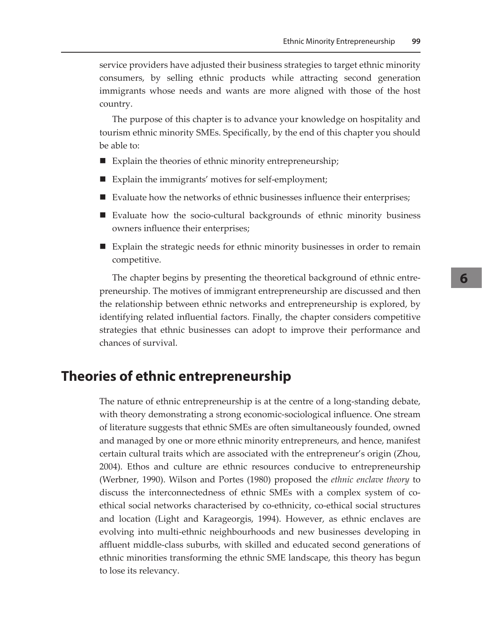service providers have adjusted their business strategies to target ethnic minority consumers, by selling ethnic products while attracting second generation immigrants whose needs and wants are more aligned with those of the host country.

The purpose of this chapter is to advance your knowledge on hospitality and tourism ethnic minority SMEs. Specifically, by the end of this chapter you should be able to:

- Explain the theories of ethnic minority entrepreneurship;
- Explain the immigrants' motives for self-employment;
- Evaluate how the networks of ethnic businesses influence their enterprises;
- Evaluate how the socio-cultural backgrounds of ethnic minority business owners influence their enterprises;
- Explain the strategic needs for ethnic minority businesses in order to remain competitive.

The chapter begins by presenting the theoretical background of ethnic entrepreneurship. The motives of immigrant entrepreneurship are discussed and then the relationship between ethnic networks and entrepreneurship is explored, by identifying related influential factors. Finally, the chapter considers competitive strategies that ethnic businesses can adopt to improve their performance and chances of survival.

## **Theories of ethnic entrepreneurship**

The nature of ethnic entrepreneurship is at the centre of a long-standing debate, with theory demonstrating a strong economic-sociological influence. One stream of literature suggests that ethnic SMEs are often simultaneously founded, owned and managed by one or more ethnic minority entrepreneurs, and hence, manifest certain cultural traits which are associated with the entrepreneur's origin (Zhou, 2004). Ethos and culture are ethnic resources conducive to entrepreneurship (Werbner, 1990). Wilson and Portes (1980) proposed the *ethnic enclave theory* to discuss the interconnectedness of ethnic SMEs with a complex system of coethical social networks characterised by co-ethnicity, co-ethical social structures and location (Light and Karageorgis, 1994). However, as ethnic enclaves are evolving into multi-ethnic neighbourhoods and new businesses developing in affluent middle-class suburbs, with skilled and educated second generations of ethnic minorities transforming the ethnic SME landscape, this theory has begun to lose its relevancy.